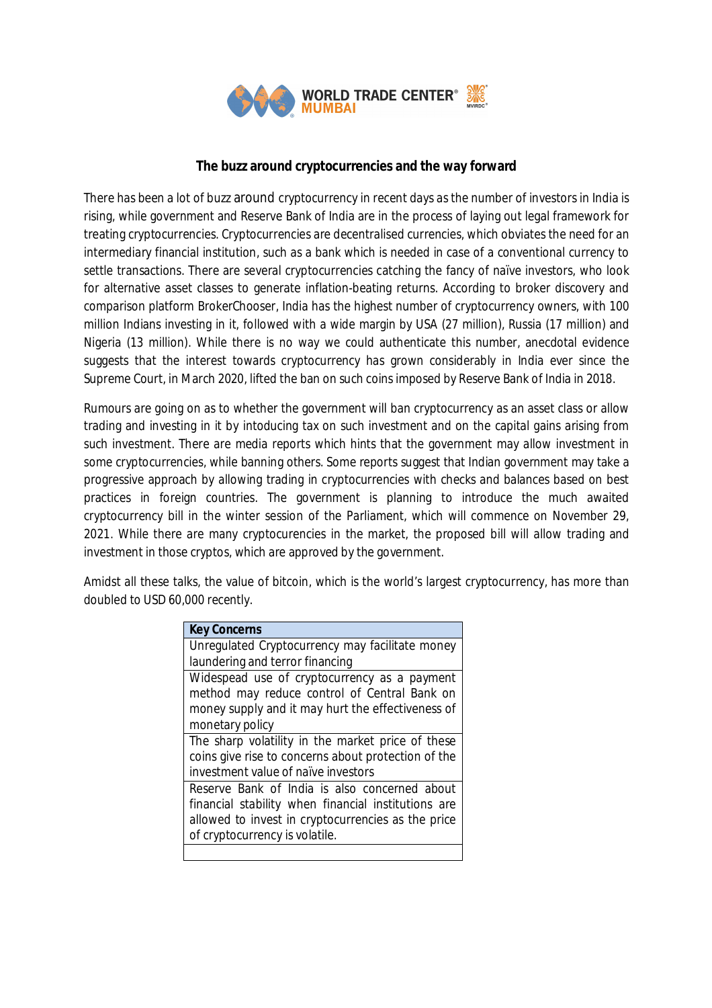

# **The buzz around cryptocurrencies and the way forward**

There has been a lot of buzz around cryptocurrency in recent days as the number of investors in India is rising, while government and Reserve Bank of India are in the process of laying out legal framework for treating cryptocurrencies. Cryptocurrencies are decentralised currencies, which obviates the need for an intermediary financial institution, such as a bank which is needed in case of a conventional currency to settle transactions. There are several cryptocurrencies catching the fancy of naïve investors, who look for alternative asset classes to generate inflation-beating returns. According to broker discovery and comparison platform BrokerChooser, India has the highest number of cryptocurrency owners, with 100 million Indians investing in it, followed with a wide margin by USA (27 million), Russia (17 million) and Nigeria (13 million). While there is no way we could authenticate this number, anecdotal evidence suggests that the interest towards cryptocurrency has grown considerably in India ever since the Supreme Court, in March 2020, lifted the ban on such coins imposed by Reserve Bank of India in 2018.

Rumours are going on as to whether the government will ban cryptocurrency as an asset class or allow trading and investing in it by intoducing tax on such investment and on the capital gains arising from such investment. There are media reports which hints that the government may allow investment in some cryptocurrencies, while banning others. Some reports suggest that Indian government may take a progressive approach by allowing trading in cryptocurrencies with checks and balances based on best practices in foreign countries. The government is planning to introduce the much awaited cryptocurrency bill in the winter session of the Parliament, which will commence on November 29, 2021. While there are many cryptocurencies in the market, the proposed bill will allow trading and investment in those cryptos, which are approved by the government.

Amidst all these talks, the value of bitcoin, which is the world's largest cryptocurrency, has more than doubled to USD 60,000 recently.

| <b>Key Concerns</b>                                 |
|-----------------------------------------------------|
| Unregulated Cryptocurrency may facilitate money     |
| laundering and terror financing                     |
| Widespead use of cryptocurrency as a payment        |
| method may reduce control of Central Bank on        |
| money supply and it may hurt the effectiveness of   |
| monetary policy                                     |
| The sharp volatility in the market price of these   |
| coins give rise to concerns about protection of the |
| investment value of naïve investors                 |
| Reserve Bank of India is also concerned about       |
| financial stability when financial institutions are |
| allowed to invest in cryptocurrencies as the price  |
| of cryptocurrency is volatile.                      |
|                                                     |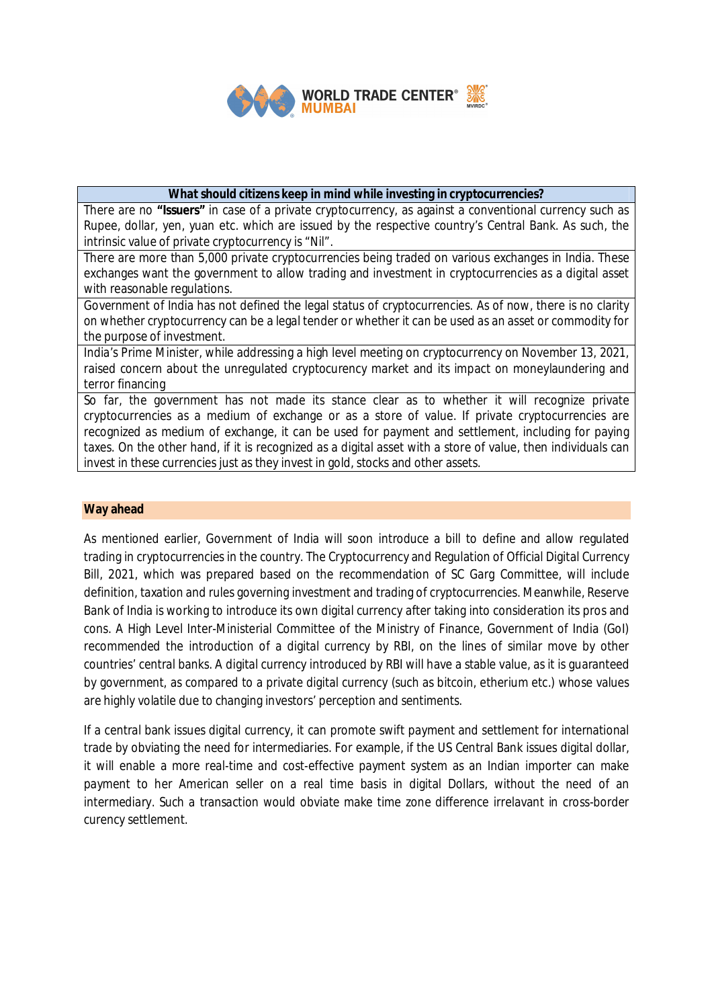

## **What should citizens keep in mind while investing in cryptocurrencies?**

There are no **"Issuers"** in case of a private cryptocurrency, as against a conventional currency such as Rupee, dollar, yen, yuan etc. which are issued by the respective country's Central Bank. As such, the intrinsic value of private cryptocurrency is "Nil".

There are more than 5,000 private cryptocurrencies being traded on various exchanges in India. These exchanges want the government to allow trading and investment in cryptocurrencies as a digital asset with reasonable regulations.

Government of India has not defined the legal status of cryptocurrencies. As of now, there is no clarity on whether cryptocurrency can be a legal tender or whether it can be used as an asset or commodity for the purpose of investment.

India's Prime Minister, while addressing a high level meeting on cryptocurrency on November 13, 2021, raised concern about the unregulated cryptocurency market and its impact on moneylaundering and terror financing

So far, the government has not made its stance clear as to whether it will recognize private cryptocurrencies as a medium of exchange or as a store of value. If private cryptocurrencies are recognized as medium of exchange, it can be used for payment and settlement, including for paying taxes. On the other hand, if it is recognized as a digital asset with a store of value, then individuals can invest in these currencies just as they invest in gold, stocks and other assets.

### **Way ahead**

As mentioned earlier, Government of India will soon introduce a bill to define and allow regulated trading in cryptocurrencies in the country. The Cryptocurrency and Regulation of Official Digital Currency Bill, 2021, which was prepared based on the recommendation of SC Garg Committee, will include definition, taxation and rules governing investment and trading of cryptocurrencies. Meanwhile, Reserve Bank of India is working to introduce its own digital currency after taking into consideration its pros and cons. A High Level Inter-Ministerial Committee of the Ministry of Finance, Government of India (GoI) recommended the introduction of a digital currency by RBI, on the lines of similar move by other countries' central banks. A digital currency introduced by RBI will have a stable value, as it is guaranteed by government, as compared to a private digital currency (such as bitcoin, etherium etc.) whose values are highly volatile due to changing investors' perception and sentiments.

If a central bank issues digital currency, it can promote swift payment and settlement for international trade by obviating the need for intermediaries. For example, if the US Central Bank issues digital dollar, it will enable a more real-time and cost-effective payment system as an Indian importer can make payment to her American seller on a real time basis in digital Dollars, without the need of an intermediary. Such a transaction would obviate make time zone difference irrelavant in cross-border curency settlement.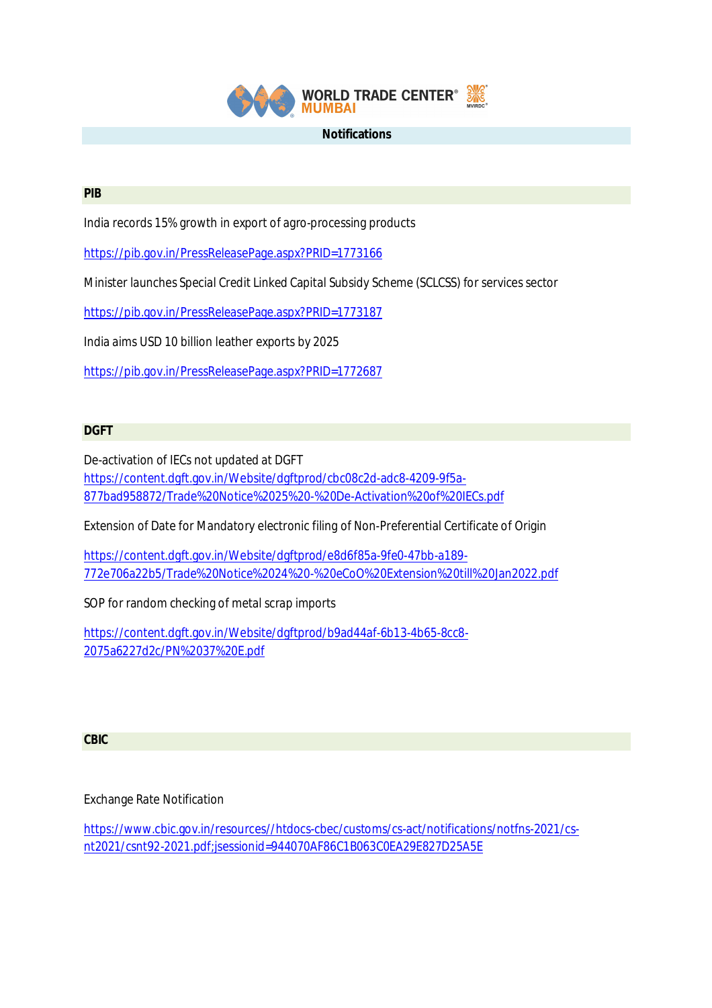

#### **Notifications**

### **PIB**

India records 15% growth in export of agro-processing products

https://pib.gov.in/PressReleasePage.aspx?PRID=1773166

Minister launches Special Credit Linked Capital Subsidy Scheme (SCLCSS) for services sector

https://pib.gov.in/PressReleasePage.aspx?PRID=1773187

India aims USD 10 billion leather exports by 2025

https://pib.gov.in/PressReleasePage.aspx?PRID=1772687

# **DGFT**

De-activation of IECs not updated at DGFT https://content.dgft.gov.in/Website/dgftprod/cbc08c2d-adc8-4209-9f5a-877bad958872/Trade%20Notice%2025%20-%20De-Activation%20of%20IECs.pdf

Extension of Date for Mandatory electronic filing of Non-Preferential Certificate of Origin

https://content.dgft.gov.in/Website/dgftprod/e8d6f85a-9fe0-47bb-a189- 772e706a22b5/Trade%20Notice%2024%20-%20eCoO%20Extension%20till%20Jan2022.pdf

SOP for random checking of metal scrap imports

https://content.dgft.gov.in/Website/dgftprod/b9ad44af-6b13-4b65-8cc8- 2075a6227d2c/PN%2037%20E.pdf

# **CBIC**

Exchange Rate Notification

https://www.cbic.gov.in/resources//htdocs-cbec/customs/cs-act/notifications/notfns-2021/csnt2021/csnt92-2021.pdf;jsessionid=944070AF86C1B063C0EA29E827D25A5E